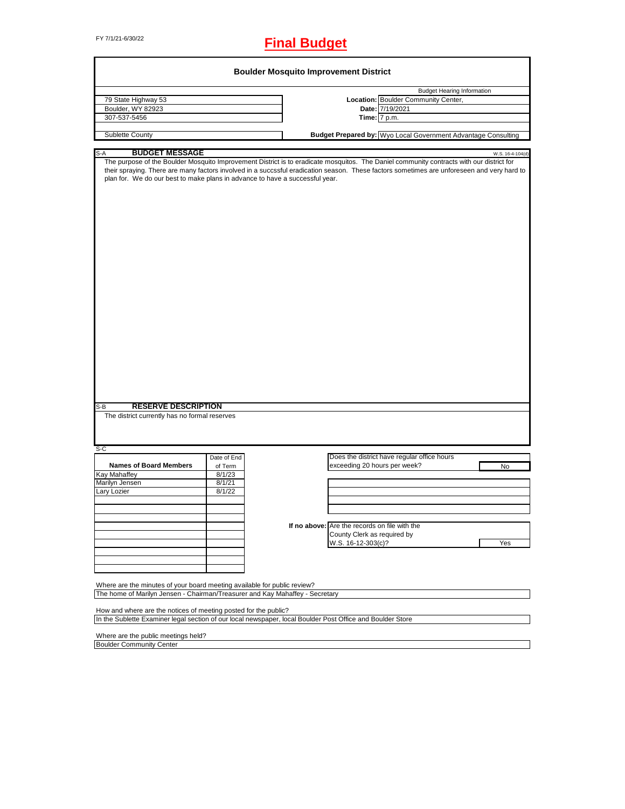# FY 7/1/21-6/30/22 **Final Budget**

| <b>Boulder Mosquito Improvement District</b>                                                                                                                                                                                                                                                                                                                                                                                                                   |             |  |                                               |                                                                      |                  |  |  |
|----------------------------------------------------------------------------------------------------------------------------------------------------------------------------------------------------------------------------------------------------------------------------------------------------------------------------------------------------------------------------------------------------------------------------------------------------------------|-------------|--|-----------------------------------------------|----------------------------------------------------------------------|------------------|--|--|
|                                                                                                                                                                                                                                                                                                                                                                                                                                                                |             |  |                                               |                                                                      |                  |  |  |
|                                                                                                                                                                                                                                                                                                                                                                                                                                                                |             |  |                                               | <b>Budget Hearing Information</b>                                    |                  |  |  |
| 79 State Highway 53                                                                                                                                                                                                                                                                                                                                                                                                                                            |             |  |                                               | Location: Boulder Community Center,                                  |                  |  |  |
| Boulder, WY 82923                                                                                                                                                                                                                                                                                                                                                                                                                                              |             |  |                                               | Date: 7/19/2021                                                      |                  |  |  |
| 307-537-5456                                                                                                                                                                                                                                                                                                                                                                                                                                                   |             |  |                                               | Time: 7 p.m.                                                         |                  |  |  |
| Sublette County                                                                                                                                                                                                                                                                                                                                                                                                                                                |             |  |                                               | <b>Budget Prepared by:</b> Wyo Local Government Advantage Consulting |                  |  |  |
| $S-A$<br><b>BUDGET MESSAGE</b>                                                                                                                                                                                                                                                                                                                                                                                                                                 |             |  |                                               |                                                                      | W.S. 16-4-104(d) |  |  |
| The purpose of the Boulder Mosquito Improvement District is to eradicate mosquitos. The Daniel community contracts with our district for<br>their spraying. There are many factors involved in a succssful eradication season. These factors sometimes are unforeseen and very hard to<br>plan for. We do our best to make plans in advance to have a successful year.<br><b>RESERVE DESCRIPTION</b><br>$S-B$<br>The district currently has no formal reserves |             |  |                                               |                                                                      |                  |  |  |
| $S-C$                                                                                                                                                                                                                                                                                                                                                                                                                                                          |             |  |                                               |                                                                      |                  |  |  |
|                                                                                                                                                                                                                                                                                                                                                                                                                                                                | Date of End |  |                                               | Does the district have regular office hours                          |                  |  |  |
| <b>Names of Board Members</b>                                                                                                                                                                                                                                                                                                                                                                                                                                  | of Term     |  | exceeding 20 hours per week?                  |                                                                      | No               |  |  |
| <b>Kay Mahaffey</b>                                                                                                                                                                                                                                                                                                                                                                                                                                            | 8/1/23      |  |                                               |                                                                      |                  |  |  |
| Marilyn Jensen                                                                                                                                                                                                                                                                                                                                                                                                                                                 | 8/1/21      |  |                                               |                                                                      |                  |  |  |
| Lary Lozier                                                                                                                                                                                                                                                                                                                                                                                                                                                    | 8/1/22      |  |                                               |                                                                      |                  |  |  |
|                                                                                                                                                                                                                                                                                                                                                                                                                                                                |             |  |                                               |                                                                      |                  |  |  |
|                                                                                                                                                                                                                                                                                                                                                                                                                                                                |             |  |                                               |                                                                      |                  |  |  |
|                                                                                                                                                                                                                                                                                                                                                                                                                                                                |             |  |                                               |                                                                      |                  |  |  |
|                                                                                                                                                                                                                                                                                                                                                                                                                                                                |             |  | If no above: Are the records on file with the |                                                                      |                  |  |  |
|                                                                                                                                                                                                                                                                                                                                                                                                                                                                |             |  | County Clerk as required by                   |                                                                      |                  |  |  |
|                                                                                                                                                                                                                                                                                                                                                                                                                                                                |             |  | W.S. 16-12-303(c)?                            |                                                                      | Yes              |  |  |
|                                                                                                                                                                                                                                                                                                                                                                                                                                                                |             |  |                                               |                                                                      |                  |  |  |
|                                                                                                                                                                                                                                                                                                                                                                                                                                                                |             |  |                                               |                                                                      |                  |  |  |
|                                                                                                                                                                                                                                                                                                                                                                                                                                                                |             |  |                                               |                                                                      |                  |  |  |
| Where are the minutes of your board meeting available for public review?<br>The home of Marilyn Jensen - Chairman/Treasurer and Kay Mahaffey - Secretary                                                                                                                                                                                                                                                                                                       |             |  |                                               |                                                                      |                  |  |  |
| How and where are the notices of meeting posted for the public?<br>In the Sublette Examiner legal section of our local newspaper, local Boulder Post Office and Boulder Store                                                                                                                                                                                                                                                                                  |             |  |                                               |                                                                      |                  |  |  |
| Where are the public meetings held?                                                                                                                                                                                                                                                                                                                                                                                                                            |             |  |                                               |                                                                      |                  |  |  |
| <b>Boulder Community Center</b>                                                                                                                                                                                                                                                                                                                                                                                                                                |             |  |                                               |                                                                      |                  |  |  |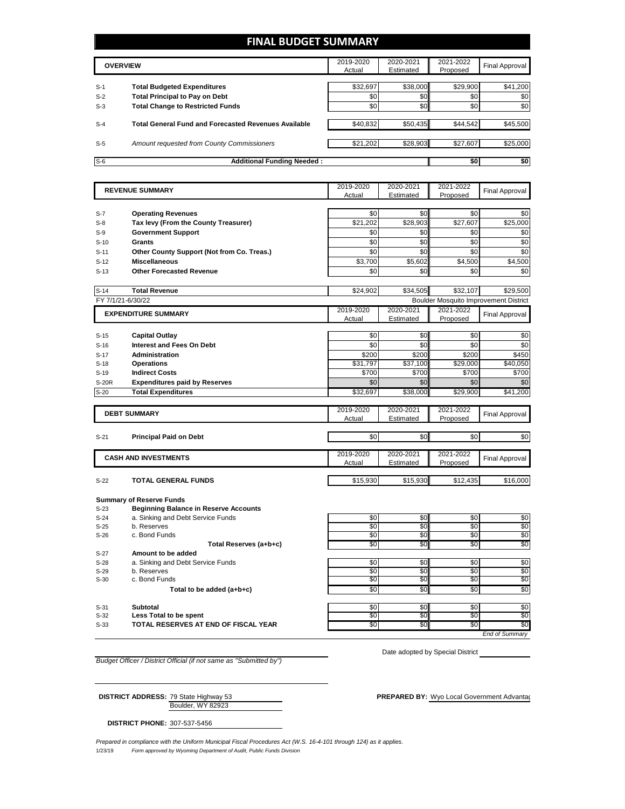### **FINAL BUDGET SUMMARY**

|       | <b>OVERVIEW</b>                                             | 2019-2020<br>Actual | 2020-2021<br>Estimated | 2021-2022<br>Proposed | <b>Final Approval</b> |
|-------|-------------------------------------------------------------|---------------------|------------------------|-----------------------|-----------------------|
|       |                                                             |                     |                        |                       |                       |
| $S-1$ | <b>Total Budgeted Expenditures</b>                          | \$32.697            | \$38,000               | \$29.900              | \$41,200              |
| $S-2$ | <b>Total Principal to Pay on Debt</b>                       | \$0                 | \$0                    | \$0                   | \$0                   |
| $S-3$ | <b>Total Change to Restricted Funds</b>                     | \$0                 | \$0                    | \$0                   | \$0                   |
| $S-4$ | <b>Total General Fund and Forecasted Revenues Available</b> | \$40,832            | \$50,435               | \$44,542              | \$45,500              |
| $S-5$ | Amount requested from County Commissioners                  | \$21,202            | \$28,903               | \$27,607              | \$25,000              |
| $S-6$ | <b>Additional Funding Needed:</b>                           |                     |                        | \$0                   | \$0                   |

|                  | <b>REVENUE SUMMARY</b>                                    |                   | 2020-2021         | 2021-2022         | <b>Final Approval</b>                        |
|------------------|-----------------------------------------------------------|-------------------|-------------------|-------------------|----------------------------------------------|
|                  |                                                           |                   | Estimated         | Proposed          |                                              |
|                  |                                                           |                   |                   |                   |                                              |
| $S-7$            | <b>Operating Revenues</b>                                 | \$0               | \$0               | \$0               | \$0                                          |
| $S-8$            | Tax levy (From the County Treasurer)                      | \$21,202          | \$28,903          | \$27,607          | \$25,000                                     |
| $S-9$            | <b>Government Support</b>                                 | \$0               | \$0               | \$0               | \$0                                          |
| $S-10$           | Grants                                                    | \$0               | \$0               | $\overline{30}$   | \$0                                          |
| $S-11$           | Other County Support (Not from Co. Treas.)                | \$0               | \$0               | \$0               | \$0                                          |
| $S-12$           | <b>Miscellaneous</b>                                      | \$3,700           | \$5,602           | \$4,500           | \$4,500                                      |
| $S-13$           | <b>Other Forecasted Revenue</b>                           | \$0               | \$0               | \$0               | \$0                                          |
|                  |                                                           |                   |                   |                   |                                              |
| $S-14$           | <b>Total Revenue</b>                                      | \$24.902          | \$34,505          | \$32.107          | \$29,500                                     |
|                  | FY 7/1/21-6/30/22                                         |                   |                   |                   | <b>Boulder Mosquito Improvement District</b> |
|                  | <b>EXPENDITURE SUMMARY</b>                                | 2019-2020         | 2020-2021         | 2021-2022         | <b>Final Approval</b>                        |
|                  |                                                           | Actual            | Estimated         | Proposed          |                                              |
|                  |                                                           |                   |                   |                   |                                              |
| $S-15$           | <b>Capital Outlay</b><br><b>Interest and Fees On Debt</b> | \$0<br>\$0        | \$0<br>\$0        | \$0<br>\$0        | \$0<br>\$0                                   |
| $S-16$           |                                                           |                   |                   |                   |                                              |
| $S-17$           | <b>Administration</b>                                     | \$200             | \$200             | \$200             | \$450                                        |
| $S-18$<br>$S-19$ | <b>Operations</b><br><b>Indirect Costs</b>                | \$31,797<br>\$700 | \$37,100<br>\$700 | \$29,000<br>\$700 | \$40,050<br>\$700                            |
| <b>S-20R</b>     | <b>Expenditures paid by Reserves</b>                      | \$0               | \$0               | \$0               | \$0                                          |
| $S-20$           | <b>Total Expenditures</b>                                 | \$32,697          | \$38,000          | \$29,900          | \$41,200                                     |
|                  |                                                           |                   |                   |                   |                                              |
|                  |                                                           | 2019-2020         | 2020-2021         | 2021-2022         |                                              |
|                  | <b>DEBT SUMMARY</b>                                       | Actual            | Estimated         | Proposed          | Final Approval                               |
|                  |                                                           |                   |                   |                   |                                              |
| $S-21$           | <b>Principal Paid on Debt</b>                             | \$0               | \$0               | \$0               | \$0                                          |
|                  |                                                           |                   |                   |                   |                                              |
|                  | <b>CASH AND INVESTMENTS</b>                               | 2019-2020         | 2020-2021         | 2021-2022         | <b>Final Approval</b>                        |
|                  |                                                           | Actual            | Estimated         | Proposed          |                                              |
| $S-22$           | <b>TOTAL GENERAL FUNDS</b>                                | \$15,930          | \$15,930          | \$12,435          | \$16,000                                     |
|                  |                                                           |                   |                   |                   |                                              |
|                  | <b>Summary of Reserve Funds</b>                           |                   |                   |                   |                                              |
| $S-23$           | <b>Beginning Balance in Reserve Accounts</b>              |                   |                   |                   |                                              |
| $S-24$           | a. Sinking and Debt Service Funds                         | \$0               | \$0               | \$0               | \$0                                          |
| $S-25$           | b. Reserves                                               | \$0               | \$0               | \$0               | $\overline{50}$                              |
| $S-26$           | c. Bond Funds                                             | \$0               | \$0               | \$0               | \$0                                          |
|                  | Total Reserves (a+b+c)                                    | \$0               | \$0               | \$0               | \$0                                          |
| $S-27$           | Amount to be added                                        |                   |                   |                   |                                              |
| $S-28$           | a. Sinking and Debt Service Funds                         | \$0               | \$0               | \$0               | \$0                                          |
| $S-29$           | b. Reserves                                               | $\overline{50}$   | \$0               | $\overline{30}$   | \$0                                          |
| $S-30$           | c. Bond Funds                                             | \$0               | \$0               | \$0               | \$0                                          |
|                  | Total to be added (a+b+c)                                 | \$0               | \$0               | \$0               | \$0                                          |

Total to be added (a+b+c)

S-31 **Subtotal** \$0 \$0 \$0 S-32 Less Total to be spent to the second second to the second to the second second second second second second S-33 **TOTAL RESERVES AT END OF FISCAL YEAR** \$0 \$0 \$0 \$0

*End of Summary*

*Budget Officer / District Official (if not same as "Submitted by")*

Date adopted by Special District

Boulder, WY 82923 **DISTRICT ADDRESS:** 79 State Highway 53 **PREPARED BY:** Wyo Local Government Advantagent Advantage Consulting Consulting Consulting Consulting Consulting Consulting Consulting Consulting Consulting Consulting Consulting Con

**DISTRICT PHONE:** 307-537-5456

1/23/19 *Form approved by Wyoming Department of Audit, Public Funds Division Prepared in compliance with the Uniform Municipal Fiscal Procedures Act (W.S. 16-4-101 through 124) as it applies.*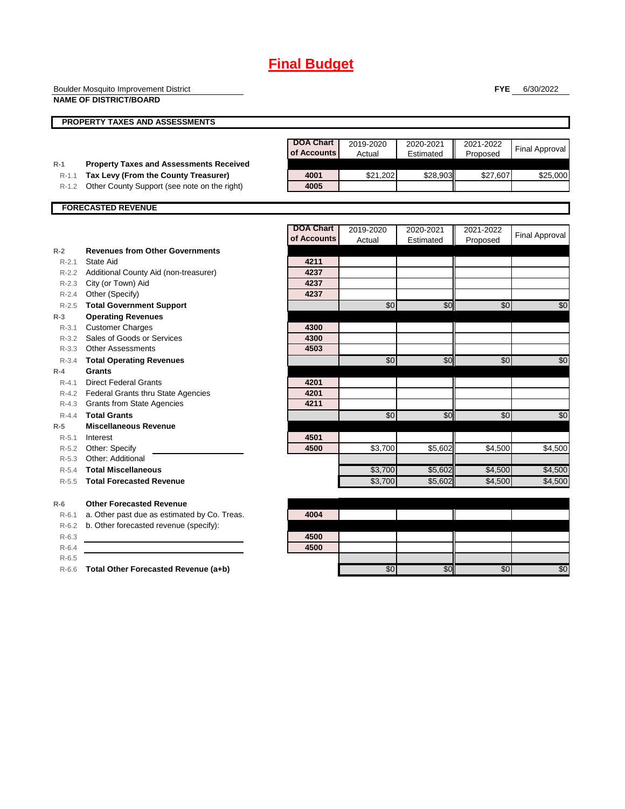# **Final Budget**

|                                              | <b>Boulder Mosquito Improvement District</b><br><b>NAME OF DISTRICT/BOARD</b>                                             |                                 |                     |                        | <b>FYE</b>            | 6/30/2022             |
|----------------------------------------------|---------------------------------------------------------------------------------------------------------------------------|---------------------------------|---------------------|------------------------|-----------------------|-----------------------|
|                                              | <b>PROPERTY TAXES AND ASSESSMENTS</b>                                                                                     |                                 |                     |                        |                       |                       |
| $R-1$                                        | <b>Property Taxes and Assessments Received</b>                                                                            | <b>DOA Chart</b><br>of Accounts | 2019-2020<br>Actual | 2020-2021<br>Estimated | 2021-2022<br>Proposed | <b>Final Approval</b> |
| $R-1.1$<br>$R-1.2$                           | Tax Levy (From the County Treasurer)<br>Other County Support (see note on the right)                                      | 4001<br>4005                    | \$21,202            | \$28,903               | \$27,607              | \$25,000              |
|                                              | <b>FORECASTED REVENUE</b>                                                                                                 |                                 |                     |                        |                       |                       |
|                                              |                                                                                                                           | <b>DOA Chart</b><br>of Accounts | 2019-2020<br>Actual | 2020-2021<br>Estimated | 2021-2022<br>Proposed | <b>Final Approval</b> |
| $R-2$<br>$R - 2.1$<br>R-2.2<br>$R - 2.3$     | <b>Revenues from Other Governments</b><br>State Aid<br>Additional County Aid (non-treasurer)<br>City (or Town) Aid        | 4211<br>4237<br>4237            |                     |                        |                       |                       |
| $R - 2.4$<br>$R - 2.5$<br>$R-3$              | Other (Specify)<br><b>Total Government Support</b><br><b>Operating Revenues</b>                                           | 4237                            | \$0                 | \$0                    | \$0                   | \$0                   |
| $R - 3.1$<br>R-3.2<br>$R - 3.3$              | <b>Customer Charges</b><br>Sales of Goods or Services<br><b>Other Assessments</b>                                         | 4300<br>4300<br>4503            |                     |                        |                       |                       |
| $R - 3.4$<br>$R-4$<br>$R - 4.1$<br>$R - 4.2$ | <b>Total Operating Revenues</b><br>Grants<br><b>Direct Federal Grants</b><br><b>Federal Grants thru State Agencies</b>    | 4201<br>4201<br>4211            | \$0                 | \$0                    | \$0                   | \$0                   |
| $R - 4.3$<br>$R - 4.4$<br>$R-5$<br>$R - 5.1$ | <b>Grants from State Agencies</b><br><b>Total Grants</b><br><b>Miscellaneous Revenue</b><br>Interest                      | 4501                            | \$0                 | \$0                    | \$0                   | \$0                   |
| $R-5.2$<br>$R - 5.3$<br>$R - 5.4$            | Other: Specify<br>Other: Additional<br><b>Total Miscellaneous</b>                                                         | 4500                            | \$3,700<br>\$3,700  | \$5,602<br>\$5,602     | \$4.500               | \$4,500               |
| $R - 5.5$                                    | <b>Total Forecasted Revenue</b>                                                                                           |                                 | \$3,700             | \$5,602                | \$4,500<br>\$4,500    | \$4,500<br>\$4,500    |
| $R-6$<br>$R - 6.1$<br>R-6.2<br>$R-6.3$       | <b>Other Forecasted Revenue</b><br>a. Other past due as estimated by Co. Treas.<br>b. Other forecasted revenue (specify): | 4004<br>4500                    |                     |                        |                       |                       |

R-6.4 **4500** R-6.5

R-6.6 **Total Other Forecasted Revenue (a+b)** \$0 \$0 \$0 \$0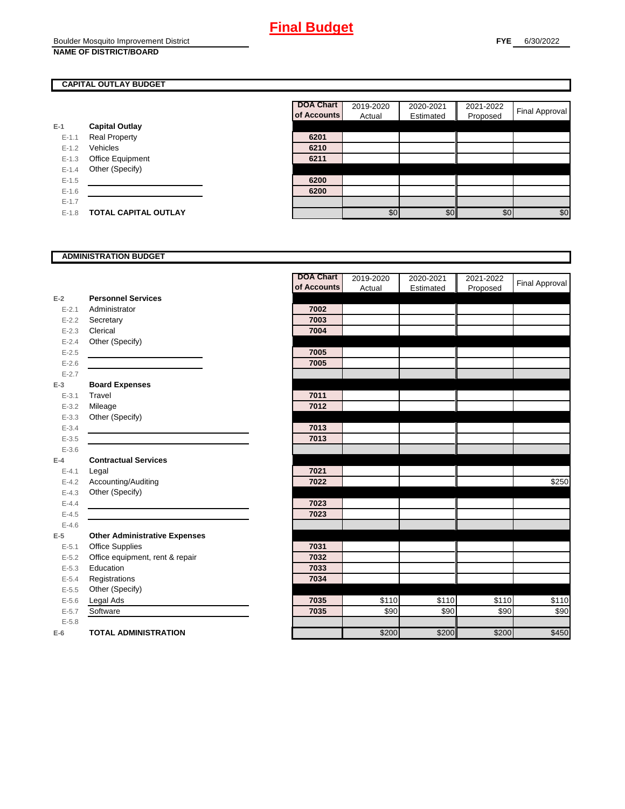### **CAPITAL OUTLAY BUDGET**

|           |                             | ui Auuu |
|-----------|-----------------------------|---------|
| E-1       | <b>Capital Outlay</b>       |         |
| $E - 1.1$ | <b>Real Property</b>        | 6201    |
| $E - 1.2$ | Vehicles                    | 6210    |
| $E-1.3$   | <b>Office Equipment</b>     | 6211    |
| $E - 1.4$ | Other (Specify)             |         |
| $E - 1.5$ |                             | 6200    |
| $E - 1.6$ |                             | 6200    |
| $E - 1.7$ |                             |         |
| $E-1.8$   | <b>TOTAL CAPITAL OUTLAY</b> |         |

| <b>DOA Chart</b><br>of Accounts | 2019-2020<br>Actual | 2020-2021<br>Estimated | 2021-2022<br>Proposed | Final Approval |
|---------------------------------|---------------------|------------------------|-----------------------|----------------|
|                                 |                     |                        |                       |                |
| 6201                            |                     |                        |                       |                |
| 6210                            |                     |                        |                       |                |
| 6211                            |                     |                        |                       |                |
|                                 |                     |                        |                       |                |
| 6200                            |                     |                        |                       |                |
| 6200                            |                     |                        |                       |                |
|                                 |                     |                        |                       |                |
|                                 | \$0                 | \$C                    | \$0                   | \$0            |

#### **ADMINISTRATION BUDGET**

|           |                                      | <b>DOA Chart</b> | 2019-2020 | 2020-2021 | 2021-2022 | <b>Final Approval</b> |
|-----------|--------------------------------------|------------------|-----------|-----------|-----------|-----------------------|
|           |                                      | of Accounts      | Actual    | Estimated | Proposed  |                       |
| $E-2$     | <b>Personnel Services</b>            |                  |           |           |           |                       |
| $E - 2.1$ | Administrator                        | 7002             |           |           |           |                       |
| $E - 2.2$ | Secretary                            | 7003             |           |           |           |                       |
| $E - 2.3$ | Clerical                             | 7004             |           |           |           |                       |
| $E - 2.4$ | Other (Specify)                      |                  |           |           |           |                       |
| $E - 2.5$ |                                      | 7005             |           |           |           |                       |
| $E - 2.6$ |                                      | 7005             |           |           |           |                       |
| $E - 2.7$ |                                      |                  |           |           |           |                       |
| $E-3$     | <b>Board Expenses</b>                |                  |           |           |           |                       |
| $E - 3.1$ | Travel                               | 7011             |           |           |           |                       |
| $E - 3.2$ | Mileage                              | 7012             |           |           |           |                       |
| $E - 3.3$ | Other (Specify)                      |                  |           |           |           |                       |
| $E - 3.4$ |                                      | 7013             |           |           |           |                       |
| $E - 3.5$ |                                      | 7013             |           |           |           |                       |
| $E - 3.6$ |                                      |                  |           |           |           |                       |
| $E-4$     | <b>Contractual Services</b>          |                  |           |           |           |                       |
| $E - 4.1$ | Legal                                | 7021             |           |           |           |                       |
| $E - 4.2$ | Accounting/Auditing                  | 7022             |           |           |           | \$250                 |
| $E - 4.3$ | Other (Specify)                      |                  |           |           |           |                       |
| $E - 4.4$ |                                      | 7023             |           |           |           |                       |
| $E-4.5$   |                                      | 7023             |           |           |           |                       |
| $E - 4.6$ |                                      |                  |           |           |           |                       |
| $E-5$     | <b>Other Administrative Expenses</b> |                  |           |           |           |                       |
| $E - 5.1$ | Office Supplies                      | 7031             |           |           |           |                       |
| $E - 5.2$ | Office equipment, rent & repair      | 7032             |           |           |           |                       |
| $E - 5.3$ | Education                            | 7033             |           |           |           |                       |
| $E - 5.4$ | Registrations                        | 7034             |           |           |           |                       |
| $E-5.5$   | Other (Specify)                      |                  |           |           |           |                       |
| $E - 5.6$ | Legal Ads                            | 7035             | \$110     | \$110     | \$110     | \$110                 |
| $E - 5.7$ | Software                             | 7035             | \$90      | \$90      | \$90      | \$90                  |
| $E - 5.8$ |                                      |                  |           |           |           |                       |
| $E-6$     | <b>TOTAL ADMINISTRATION</b>          |                  | \$200     | \$200     | \$200     | \$450                 |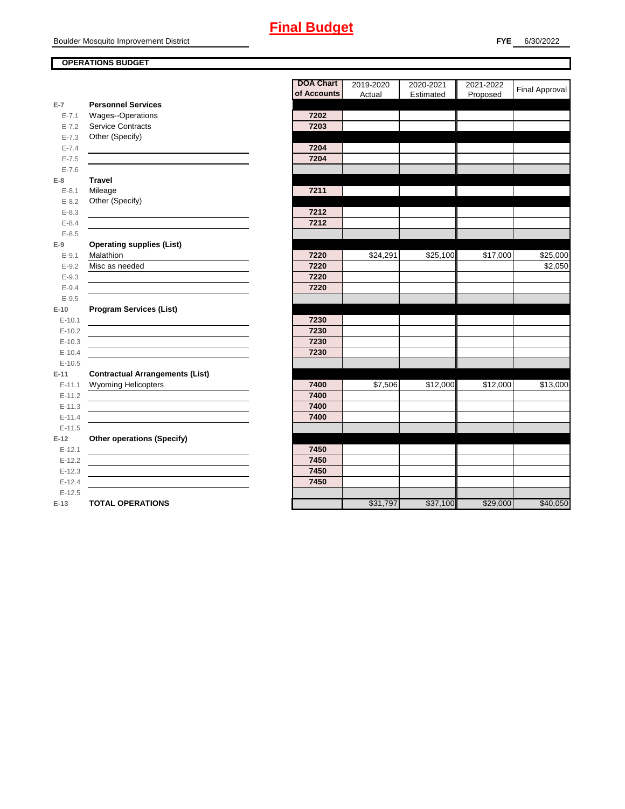## **OPERATIONS BUDGET**

**E-7**

**E-8 Travel**

**E-9**

**E-10**

**E-11 Contractual Arrangements (List)** 

**E-12 Other operations (Specify)** 

|            |                                        | <b>DOA Chart</b> | 2019-2020 | 2020-2021 | 2021-2022 | Final Approval |
|------------|----------------------------------------|------------------|-----------|-----------|-----------|----------------|
|            |                                        | of Accounts      | Actual    | Estimated | Proposed  |                |
| $E-7$      | <b>Personnel Services</b>              |                  |           |           |           |                |
| $E - 7.1$  | Wages--Operations                      | 7202             |           |           |           |                |
| $E - 7.2$  | <b>Service Contracts</b>               | 7203             |           |           |           |                |
| $E - 7.3$  | Other (Specify)                        |                  |           |           |           |                |
| $E - 7.4$  |                                        | 7204             |           |           |           |                |
| $E - 7.5$  |                                        | 7204             |           |           |           |                |
| $E - 7.6$  |                                        |                  |           |           |           |                |
| E-8        | <b>Travel</b>                          |                  |           |           |           |                |
| $E - 8.1$  | Mileage                                | 7211             |           |           |           |                |
| $E - 8.2$  | Other (Specify)                        |                  |           |           |           |                |
| $E - 8.3$  |                                        | 7212             |           |           |           |                |
| $E - 8.4$  |                                        | 7212             |           |           |           |                |
| $E - 8.5$  |                                        |                  |           |           |           |                |
| $E-9$      | <b>Operating supplies (List)</b>       |                  |           |           |           |                |
| $E - 9.1$  | Malathion                              | 7220             | \$24,291  | \$25,100  | \$17,000  | \$25,000       |
| $E - 9.2$  | Misc as needed                         | 7220             |           |           |           | \$2,050        |
| $E-9.3$    |                                        | 7220             |           |           |           |                |
| $E - 9.4$  |                                        | 7220             |           |           |           |                |
| $E - 9.5$  |                                        |                  |           |           |           |                |
| E-10       | <b>Program Services (List)</b>         |                  |           |           |           |                |
| $E-10.1$   |                                        | 7230             |           |           |           |                |
| $E-10.2$   |                                        | 7230             |           |           |           |                |
| $E-10.3$   |                                        | 7230             |           |           |           |                |
| $E-10.4$   |                                        | 7230             |           |           |           |                |
| $E-10.5$   |                                        |                  |           |           |           |                |
| $E-11$     | <b>Contractual Arrangements (List)</b> |                  |           |           |           |                |
| $E-11.1$   | Wyoming Helicopters                    | 7400             | \$7,506   | \$12,000  | \$12,000  | \$13,000       |
| $E - 11.2$ |                                        | 7400             |           |           |           |                |
| $E-11.3$   |                                        | 7400             |           |           |           |                |
| $E-11.4$   |                                        | 7400             |           |           |           |                |
| $E-11.5$   |                                        |                  |           |           |           |                |
| $E-12$     | <b>Other operations (Specify)</b>      |                  |           |           |           |                |
| $E-12.1$   |                                        | 7450             |           |           |           |                |
| $E-12.2$   |                                        | 7450             |           |           |           |                |
| $E-12.3$   |                                        | 7450             |           |           |           |                |
| $E-12.4$   |                                        | 7450             |           |           |           |                |
| $E-12.5$   |                                        |                  |           |           |           |                |
| $E-13$     | <b>TOTAL OPERATIONS</b>                |                  | \$31,797  | \$37,100  | \$29,000  | \$40,050       |
|            |                                        |                  |           |           |           |                |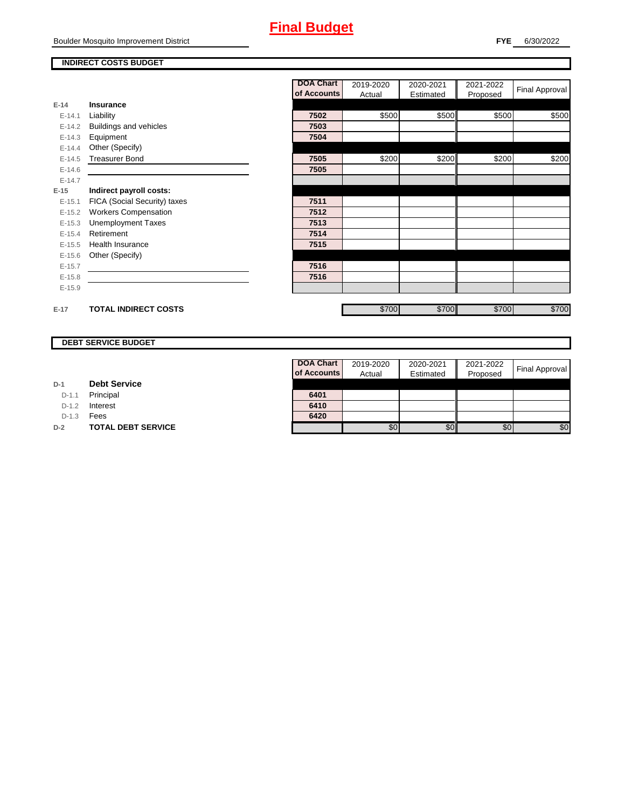# **Final Budget**

#### **INDIRECT COSTS BUDGET**

|          |                              | <b>DOA Chart</b> | 2019-2020 | 2020-2021 | 2021-2022 | Final Approval |
|----------|------------------------------|------------------|-----------|-----------|-----------|----------------|
|          |                              | of Accounts      | Actual    | Estimated | Proposed  |                |
| $E-14$   | Insurance                    |                  |           |           |           |                |
| $E-14.1$ | Liability                    | 7502             | \$500     | \$500     | \$500     | \$500          |
| $E-14.2$ | Buildings and vehicles       | 7503             |           |           |           |                |
| $E-14.3$ | Equipment                    | 7504             |           |           |           |                |
| $E-14.4$ | Other (Specify)              |                  |           |           |           |                |
| $E-14.5$ | <b>Treasurer Bond</b>        | 7505             | \$200     | \$200     | \$200     | \$200          |
| $E-14.6$ |                              | 7505             |           |           |           |                |
| $E-14.7$ |                              |                  |           |           |           |                |
| $E-15$   | Indirect payroll costs:      |                  |           |           |           |                |
| $E-15.1$ | FICA (Social Security) taxes | 7511             |           |           |           |                |
| $E-15.2$ | <b>Workers Compensation</b>  | 7512             |           |           |           |                |
| $E-15.3$ | <b>Unemployment Taxes</b>    | 7513             |           |           |           |                |
| $E-15.4$ | Retirement                   | 7514             |           |           |           |                |
| $E-15.5$ | <b>Health Insurance</b>      | 7515             |           |           |           |                |
| $E-15.6$ | Other (Specify)              |                  |           |           |           |                |
| $E-15.7$ |                              | 7516             |           |           |           |                |
| $E-15.8$ |                              | 7516             |           |           |           |                |
| $E-15.9$ |                              |                  |           |           |           |                |
|          |                              |                  |           |           |           |                |
| $E-17$   | <b>TOTAL INDIRECT COSTS</b>  |                  | \$700     | \$700     | \$700     | \$700          |

## **DEBT SERVICE BUDGET**

| D-1 | <b>Debt Service</b> |  |
|-----|---------------------|--|
|     |                     |  |

D-1.1 Principal

D-1.2 **Interest** 

D-1.3 **Fees** 

**D-2 TOTAL DEBT SERVICE** 

| <b>DOA Chart</b> | 2019-2020 | 2020-2021 | 2021-2022 |                       |
|------------------|-----------|-----------|-----------|-----------------------|
| of Accounts      | Actual    | Estimated | Proposed  | <b>Final Approval</b> |
|                  |           |           |           |                       |
| 6401             |           |           |           |                       |
| 6410             |           |           |           |                       |
| 6420             |           |           |           |                       |
|                  |           |           | 80        |                       |